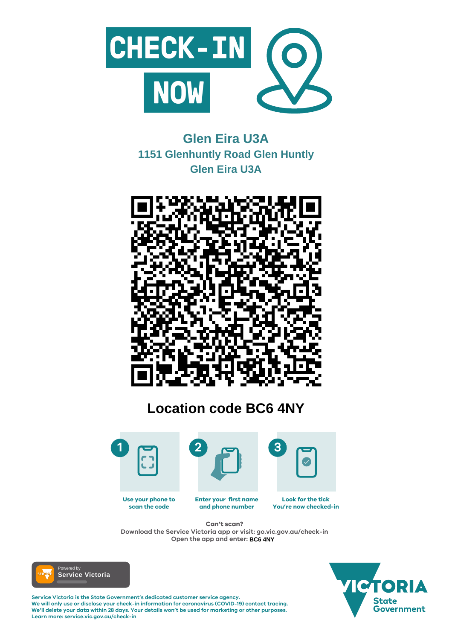

#### **Enter your first name and phone number Look for the tick You're now checked-in Use your phone to scan the code**

**Service Victoria is the State Government's dedicated customer service agency. We will only use or disclose your check-in information for coronavirus (COVID-19) contact tracing. We'll delete your data within 28 days. Your details won't be used for marketing or other purposes. Learn more: service.vic.gov.au/check-in**





# **Can't scan?**

**Download the Service Victoria app or visit: go.vic.gov.au/check-in Open the app and enter: BC6 4NY**



# **Glen Eira U3A 1151 Glenhuntly Road Glen Huntly Glen Eira U3A**



# **Location code BC6 4NY**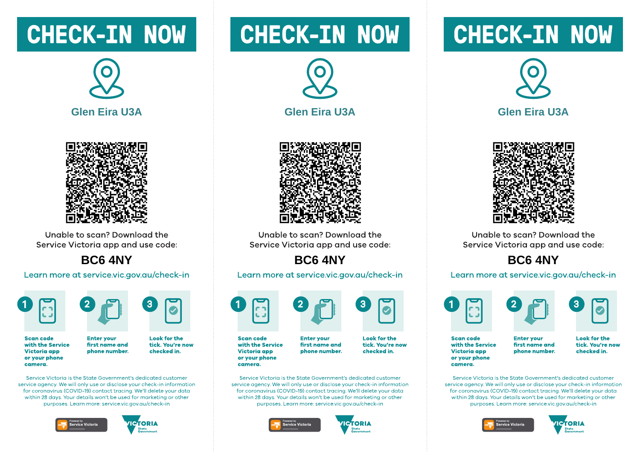# **CHECK-IN NOW**





Unable to scan? Download the Service Victoria app and use code:

### **BC6 4NY**

Learn more at service.vic.gov.au/check-in





**Enter vour** 

**Scan code** with the Service **Victoria** app or your phone camera.

**Look for the** first name and tick. You're now phone number. checked in.

Service Victoria is the State Government's dedicated customer service gaency. We will only use or disclose your check-in information for coronavirus (COVID-19) contact tracing. We'll delete your data within 28 days. Your details won't be used for marketing or other purposes. Learn more: service.vic.gov.gu/check-in





# **CHECK-IN NOW**





Unable to scan? Download the Service Victoria app and use code:

## BC6 4NY

Learn more at service.vic.gov.au/check-in



**Scan code** with the Service Victoria app or your phone camera.

**Enter vour** first name and phone number.

Service Victoria is the State Government's dedicated customer service gaency. We will only use or disclose your check-in information for coronavirus (COVID-19) contact tracing. We'll delete your data within 28 days. Your details won't be used for marketing or other purposes. Learn more: service.vic.gov.gu/check-in





**Look for the** 

checked in.

tick. You're now

# **CHECK-IN NOW**





Unable to scan? Download the Service Victoria app and use code:

## **BC6 4NY**

#### Learn more at service.vic.gov.au/check-in







**Scan code** with the Service **Victoria app** or your phone camera.

**Enter vour** first name and phone number. **Look for the** tick. You're now checked in.

Service Victoria is the State Government's dedicated customer service gaency. We will only use or disclose your check-in information for coronavirus (COVID-19) contact tracing. We'll delete your data within 28 days. Your details won't be used for marketing or other purposes. Learn more: service.vic.gov.gu/check-in